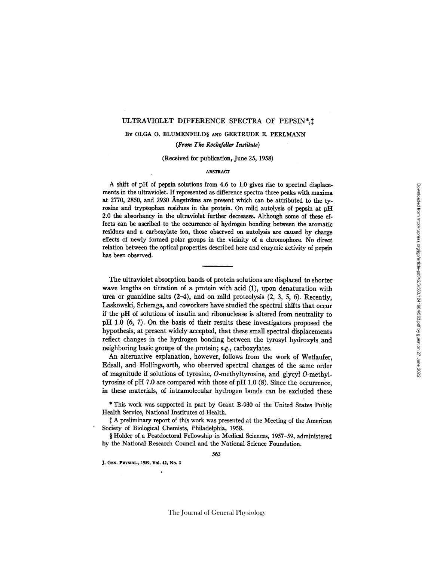## ULTRAVIOLET DIFFERENCE SPECTRA OF PEPSIN\*,

# BY OLGA O. BLUMENFELDS AND GERTRUDE E. PERLMANN *(From The Rockefeller Instilute)*

## (Received for publication, June 25, 1958)

### **ABSTRACT**

A shift of pH of pepsin solutions from 4.6 to 1.0 gives rise to spectral displacemerits in the ultraviolet. If represented as difference spectra three peaks with maxima at 2770, 2850, and 2930 Angströms are present which can be attributed to the tyrosine and tryptophan residues in the protein. On mild autolysis of pepsin at pH 2.0 the absorbancy in the ultraviolet further decreases. Although some of these effects can be ascribed to the occurrence of hydrogen bonding between the aromatic residues and a carboxylate ion, those observed on autolysis are caused by charge effects of newly formed polar groups in the vicinity of a chromophore. No direct relation between the optical properties described here and enzymic activity of pepsin has been observed.

The ultraviolet absorption bands of protein solutions are displaced to shorter wave lengths on titration of a protein with acid (1), upon denaturation with urea or guanidine salts (2-4), and on mild proteolysis (2, 3, 5, 6). Recently, Laskowski, Scheraga, and coworkers have studied the spectral shifts that occur if the pH of solutions of insulin and ribonuclease is altered from neutrality to pH 1.0 (6, 7). On the basis of their results these investigators proposed the hypothesis, at present widely accepted, that these small spectral displacements reflect changes in the hydrogen bonding between the tyrosyl hydroxyls and neighboring basic groups of the protein; e.g., carboxylates.

An alternative explanation, however, follows from the work of Wetlaufer, Edsall, and Hollingworth, who observed spectral changes of the same order of magnitude if solutions of tyrosine, O-methyltyrosine, and glycyl O-methyltyrosine of pH 7.0 are compared with those of pH 1.0 (8). Since the occurrence, in these materials, of intramolecular hydrogen bonds can be excluded these

\* This work was supported in part by Grant B-930 of the United States Public Health Service, National Institutes of Health.

A preliminary report of this work was presented at the Meeting of the American Society of Biological Chemists, Philadelphia, 1958.

§ Holder of a Postdoctoral Fellowship in Medical Sciences, 1957-59, administered by the National Research Council and the National Science Foundation.

J. GEN. PHYSIOL., 1959, Vol. 42, No. 3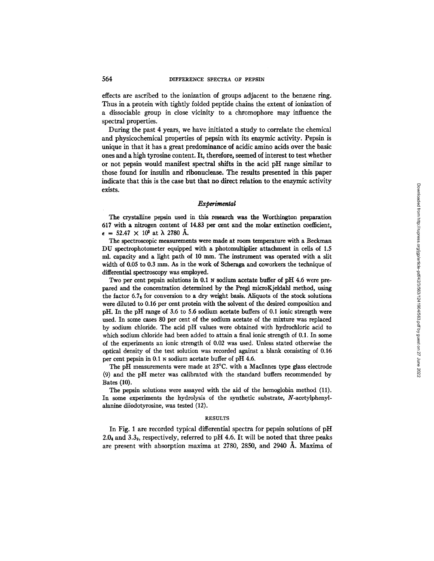effects are ascribed to the ionization of groups adjacent to the benzene ring. Thus in a protein with tightly folded peptide chains the extent of ionization of a dissociable group in close vicinity to a chromophore may influence the spectral properties.

During the past 4 years, we have initiated a study to correlate the chemical and physicochemical properties of pepsin with its enzymic activity. Pepsin is unique in that it has a great predominance of acidic amino acids over the basic ones and a high tyrosine content. It, therefore, seemed of interest to test whether or not pepsin would manifest spectral shifts in the acid pH range similar to those found for insulin and ribonuclease. The results presented in this paper indicate that this is the case but that no direct relation to the enzymic activity exists.

## *Experimental*

The crystalline pepsin used in this research was the Worthington preparation 617 with a nitrogen content of 14.83 per cent and the molar extinction coefficient,  $\epsilon = 52.47 \times 10^8$  at  $\lambda$  2780 Å.

The spectroscopic measurements were made at room temperature with a Beckman DU spectrophotometer equipped with a photomultiplier attachment in cells of 1.5 ml. capacity and a light path of 10 mm. The instrument was operated with a slit width of 0.05 to 0.3 mm. As in the work of Scheraga and coworkers the technique of differential spectroscopy was employed.

Two per cent pepsin solutions in 0.1 N sodium acetate buffer of pH 4.6 were prepared and the concentration determined by the Pregl microKjeldahl method, using the factor  $6.7<sub>6</sub>$  for conversion to a dry weight basis. Aliquots of the stock solutions were diluted to 0.16 per cent protein with the solvent of the desired composition and pH. In the pH range of 3.6 to 5.6 sodium acetate buffers of 0.1 ionic strength were used. In some cases 80 per cent of the sodium acetate of the mixture was replaced by sodium chloride. The acid pH values were obtained with hydrochloric acid to which sodium chloride had been added to attain a final ionic strength of 0.1. In some of the experiments an ionic strength of 0.02 was used. Unless stated otherwise the optical density of the test solution was recorded against a blank consisting of 0.16 per cent pepsin in 0.1 N sodium acetate buffer of pH 4.6.

The pH measurements were made at 25°C. with a MacInnes type glass electrode (9) and the pH meter was calibrated with the standard buffers recommended by Bates (10).

The pepsin solutions were assayed with the aid of the hemoglobin method (11). In some experiments the hydrolysis of the synthetic substrate, N-acetylphenylalanine diiodotyrosine, was tested (12).

#### **RESULTS**

In Fig. 1 are recorded typical differential spectra for pepsin solutions of pH 2.0 $_{4}$  and 3.3<sub>9</sub>, respectively, referred to pH 4.6. It will be noted that three peaks are present with absorption maxima at  $2780$ ,  $2850$ , and  $2940$  Å. Maxima of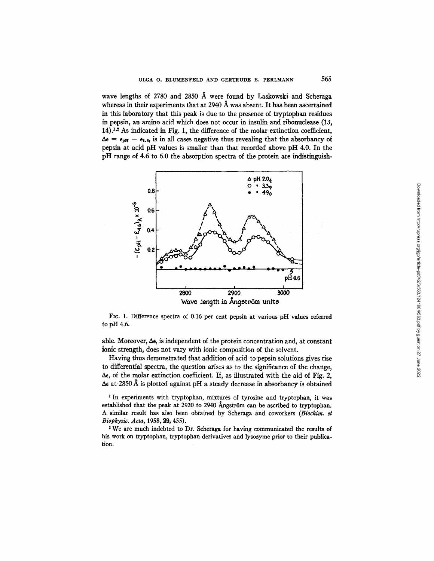wave lengths of 2780 and 2850 A were found by Laskowski and Scheraga whereas in their experiments that at 2940 Å was absent. It has been ascertained in this laboratory that this peak is due to the presence of tryptophaa residues in pepsin, an amino acid which does not occur in insulin and ribonudease (13,  $14$ ).<sup>1,2</sup> As indicated in Fig. 1, the difference of the molar extinction coefficient,  $\Delta \epsilon = \epsilon_{pH} - \epsilon_{4.6}$ , is in all cases negative thus revealing that the absorbancy of pepsin at acid pH values is smaller than that recorded above pH 4.0. In the pH range of 4.6 to 6.0 the absorption spectra of the protein are indistinguish-



FIG. 1. Difference spectra of 0.16 per cent pepsin at various pH values referred to pH 4.6.

able. Moreover,  $\Delta \epsilon$ , is independent of the protein concentration and, at constant ionic strength, does not vary with ionic composition of the solvent.

Having thus demonstrated that addition of acid to pepsin solutions gives rise to differential spectra, the question arises as to the significance of the change,  $\Delta \epsilon$ , of the molar extinction coefficient. If, as illustrated with the aid of Fig. 2,  $\Delta \epsilon$  at 2850 Å is plotted against pH a steady decrease in absorbancy is obtained

<sup>1</sup> In experiments with tryptophan, mixtures of tyrosine and tryptophan, it was established that the peak at 2920 to 2940 Ångström can be ascribed to tryptophan. A similar result has also been obtained by Scheraga and coworkers *(Biochim. et Biophysi~. Ada,* 1958, 29, 455).

2 We are much indebted to Dr. Scheraga for having communicated the results of his work on tryptophan, tryptophan derivatives and lysozyme prior to their publication.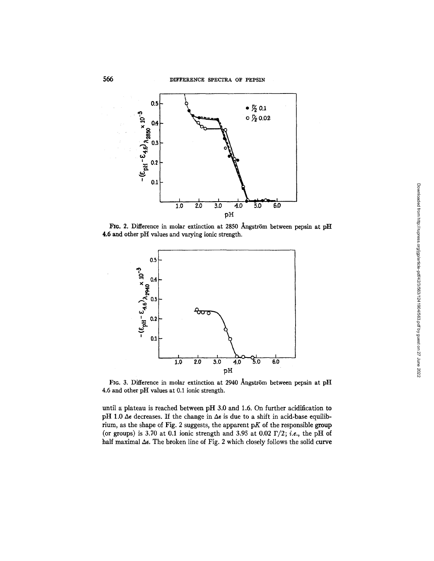

FIG. 2. Difference in molar extinction at 2850 Ångström between pepsin at pH 4.6 and other pH values and varying ionic strength.



FIG. 3. Difference in molar extinction at 2940 Ångström between pepsin at  $pH$ 4.6 and other pH values at 0.1 ionic strength.

until a plateau is reached between pH 3.0 and 1.6. On further acidification to pH 1.0  $\Delta \epsilon$  decreases. If the change in  $\Delta \epsilon$  is due to a shift in acid-base equilibrium, as the shape of Fig. 2 suggests, the apparent  $pK$  of the responsible group (or groups) is 3.70 at 0.1 ionic strength and 3.95 at 0.02  $\Gamma/2$ ; *i.e.*, the pH of half maximal  $\Delta \epsilon$ . The broken line of Fig. 2 which closely follows the solid curve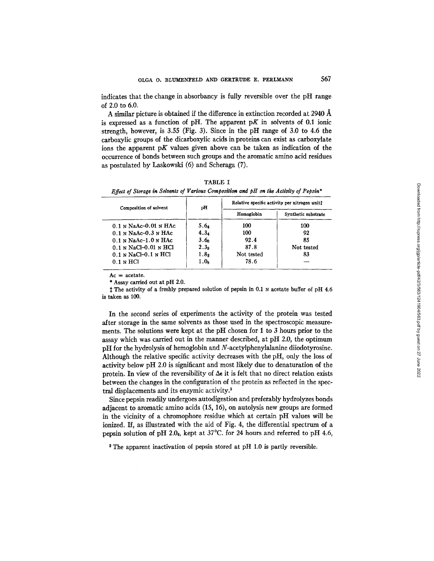indicates that the change in absorbancy is fully reversible over the pH range of 2.0 to 6.0.

A similar picture is obtained if the difference in extinction recorded at 2940  $\AA$ is expressed as a function of pH. The apparent  $pK$  in solvents of 0.1 ionic strength, however, is 3.55 (Fig. 3). Since in the pH range of 3.0 to 4.6 the carboxylic groups of the dicarboxylic acids in proteins can exist as carboxylate ions the apparent pK values given above can be taken as indication of the occurrence of bonds between such groups and the aromatic amino acid residues as postulated by Laskowski (6) and Scheraga (7).

| Composition of solvent     | pH               | Relative specific activity per nitrogen unit! |                     |
|----------------------------|------------------|-----------------------------------------------|---------------------|
|                            |                  | Hemoglobin                                    | Synthetic substrate |
| $0.1$ N NaAc- $0.01$ N HAc | 5.64             | 100                                           | 100                 |
| $0.1$ N NaAc- $0.3$ N HAc  | 4.3 <sub>4</sub> | 100                                           | 92                  |
| $0.1$ N NaAc-1.0 N HAc     | 3.6 <sub>n</sub> | 92.4                                          | 85                  |
| $0.1$ N NaCl-0.01 N HCl    | 2.3 <sub>9</sub> | 87.8                                          | Not tested          |
| $0.1$ N NaCl- $0.1$ N HCl  | 1.8 <sub>3</sub> | Not tested                                    | 83                  |
| $0.1 \text{ N}$ HCl        | 1.0 <sub>8</sub> | 78.6                                          |                     |

TABLE I *Effect of Storage in Solvents of Various Composition and pH on the Activity of Pepsin\** 

 $Ac = acetate$ .

\* Assay carried out at pH 2.0.

<sup>1</sup> The activity of a freshly prepared solution of pepsin in 0.1 N acetate buffer of pH 4.6 is taken as 100.

In the second series of experiments the activity of the protein was tested after storage in the same solvents as those used in the spectroscopic measurements. The solutions were kept at the pH chosen for 1 to 3 hours prior to the assay which was carried out in the manner described, at pH 2.0, the optimum pH for the hydrolysis of hemoglobin and N-acetylphenylalanine diiodotyrosine. Although the relative specific activity decreases with the pH, only the loss of activity below pH 2.0 is significant and most likely due to denaturation of the protein. In view of the reversibility of  $\Delta \epsilon$  it is felt that no direct relation exists between the changes in the configuration of the protein as reflected in the spectral displacements and its enzymic activity. 3

Since pepsin readily undergoes autodigestion and preferably hydrolyzes bonds adjacent to aromatic amino acids (15, 16), on autolysis new groups are formed in the vicinity of a chromophore residue which at certain pH values will be ionized. If, as illustrated with the aid of Fig. 4, the differential spectrum of a pepsin solution of pH 2.04, kept at  $37^{\circ}$ C. for 24 hours and referred to pH 4.6,

<sup>3</sup> The apparent inactivation of pepsin stored at pH 1.0 is partly reversible.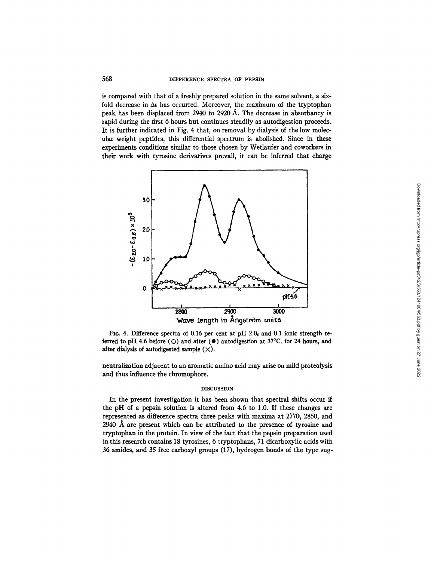is compared with that of a freshly prepared solution in the same solvent, a sixfold decrease in  $\Delta \epsilon$  has occurred. Moreover, the maximum of the tryptophan peak has been displaced from 2940 to 2920 A. The decrease in absorbancy is rapid during the first 6 hours but continues steadily as autodigestion proceeds. It is further indicated in Fig. 4 that, on removal by dialysis of the low molecular weight peptides, this differential spectrum is abolished. Since in these experiments conditions similar to those chosen by Wetlaufer and coworkers in their work with tyrosine derivatives prevail, it can be inferred that charge



FIG. 4. Difference spectra of 0.16 per cent at pH 2.04 and 0.1 ionic strength referred to pH 4.6 before (O) and after  $(\bullet)$  autodigestion at 37°C. for 24 hours, and after dialysis of autodigested sample  $(\times)$ .

neutralization adjacent to an aromatic amino acid may arise on mild proteolysis and thus influence the chromophore.

### DISCUSSION

In the present investigation it has been shown that spectral shifts occur if the pH of a pepsin solution is altered from 4.6 to 1.0. If these changes are represented as difference spectra three peaks with maxima at 2770, 2850, and 2940  $\AA$  are present which can be attributed to the presence of tyrosine and tryptophan in the protein. In view of the fact that the pepsin preparation used in this research contains 18 tyrosines, 6 tryptophans, 71 dicarboxylic acids with 36 amides, and 35 free carboxyl groups (17), hydrogen bonds of the type sug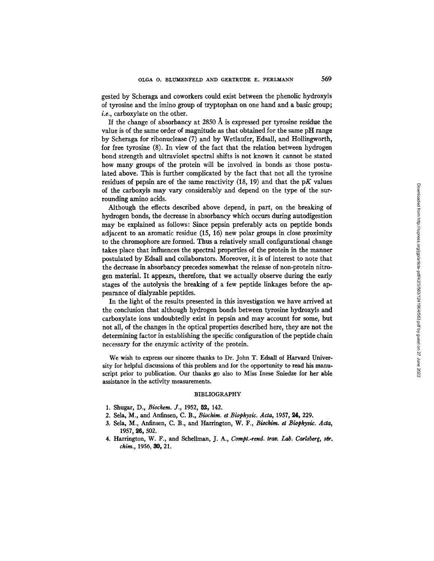gested by Scheraga and coworkers could exist between the phenolic hydroxyls of tyrosine and the imino group of tryptophan on one hand and a basic group; *i.e.,* carboxylate on the other.

If the change of absorbancy at 2850  $\AA$  is expressed per tyrosine residue the value is of the same order of magnitude as that obtained for the same pH range by Scheraga for ribonuclease (7) and by Wetlaufer, Edsall, and Hollingworth, for free tyrosine (8). In view of the fact that the relation between hydrogen bond strength and ultraviolet spectral shifts is not known it cannot be stated how many groups of the protein will be involved in bonds as those postulated above. This is further complicated by the fact that not all the tyrosine residues of pepsin are of the same reactivity  $(18, 19)$  and that the pK values of the carboxyls may vary considerably and depend on the type of the surrounding amino acids.

Although the effects described above depend, in part, on the breaking of hydrogen bonds, the decrease in absorbancy which occurs during autodigestion may be explained as follows: Since pepsin preferably acts on peptide bonds adjacent to an aromatic residue (15, 16) new polar groups in close proximity to the chromophore are formed. Thus a relatively small configurational change takes place that influences the spectral properties of the protein in the manner postulated by Edsall and collaborators. Moreover, it is of interest to note that the decrease in absorbancy precedes somewhat the release of non-protein nitrogen material. It appears, therefore, that we actually observe during the early stages of the autolysis the breaking of a few peptide linkages before the appearance of dialyzable peptides.

In the light of the results presented in this investigation we have arrived at the conclusion that although hydrogen bonds between tyrosine hydroxyls and carboxylate ions undoubtedly exist in pepsin and may account for some, but not all, of the changes in the optical properties described here, they are not the determining factor in establishing the specific configuration of the peptide chain necessary for the enzymic activity of the protein.

We wish to express our sincere thanks to Dr. John T. Edsall of Harvard University for helpful discussions of this problem and for the opportunity to read his manuscript prior to publication. Our thanks go also to Miss Inese Sniedze for her able assistance in the activity measurements.

## BIBLIOGRAPHY

- 1. Shugar, D., *Biochem. J.,* 1952, 82, 142.
- 2. Sela, M., and Anfinsen, C. B., *Biochim. et Biophysic. Acta,* 1957, 24, 229.
- 3. Sela, M., Anfinsen, C. B., and Harrington, W. F., *Biochim. et Biophysic. Acta*, 1957, 26, 502.
- 4. Harrington, W. F., and Schellman, J. A., *Compt.-rend. trav. Lab. Carlsberg, ser. chim.,* 1956, 30, 21.